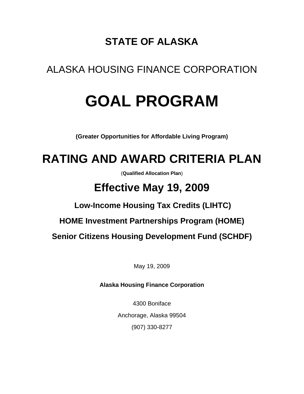## **STATE OF ALASKA**

## ALASKA HOUSING FINANCE CORPORATION

# **GOAL PROGRAM**

**(Greater Opportunities for Affordable Living Program)**

## **RATING AND AWARD CRITERIA PLAN**

(**Qualified Allocation Plan**)

## **Effective May 19, 2009**

## **Low-Income Housing Tax Credits (LIHTC)**

**HOME Investment Partnerships Program (HOME)**

**Senior Citizens Housing Development Fund (SCHDF)**

May 19, 2009

**Alaska Housing Finance Corporation**

4300 Boniface Anchorage, Alaska 99504 (907) 330-8277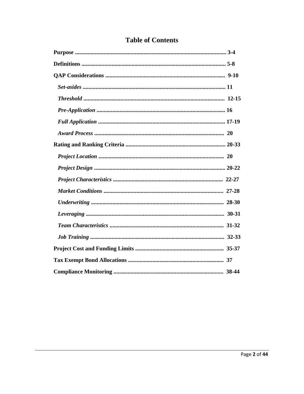|  | <b>Table of Contents</b> |
|--|--------------------------|
|  |                          |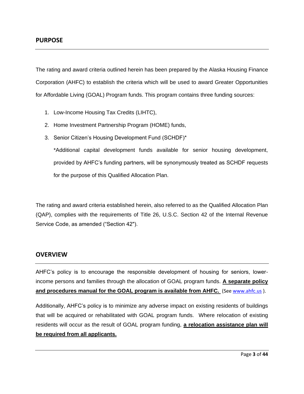The rating and award criteria outlined herein has been prepared by the Alaska Housing Finance Corporation (AHFC) to establish the criteria which will be used to award Greater Opportunities for Affordable Living (GOAL) Program funds. This program contains three funding sources:

- 1. Low-Income Housing Tax Credits (LIHTC),
- 2. Home Investment Partnership Program (HOME) funds,
- 3. Senior Citizen's Housing Development Fund (SCHDF)\*

\*Additional capital development funds available for senior housing development, provided by AHFC's funding partners, will be synonymously treated as SCHDF requests for the purpose of this Qualified Allocation Plan.

The rating and award criteria established herein, also referred to as the Qualified Allocation Plan (QAP), complies with the requirements of Title 26, U.S.C. Section 42 of the Internal Revenue Service Code, as amended ("Section 42").

#### **OVERVIEW**

AHFC's policy is to encourage the responsible development of housing for seniors, lowerincome persons and families through the allocation of GOAL program funds. **A separate policy and procedures manual for the GOAL program is available from AHFC.** (See [www.ahfc.us](http://www.ahfc.us/) ).

Additionally, AHFC's policy is to minimize any adverse impact on existing residents of buildings that will be acquired or rehabilitated with GOAL program funds. Where relocation of existing residents will occur as the result of GOAL program funding, **a relocation assistance plan will be required from all applicants.**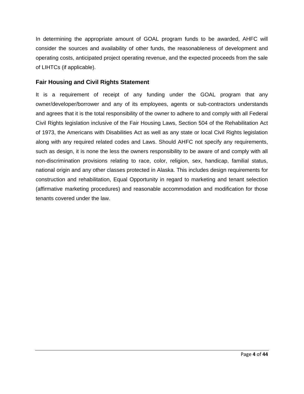In determining the appropriate amount of GOAL program funds to be awarded, AHFC will consider the sources and availability of other funds, the reasonableness of development and operating costs, anticipated project operating revenue, and the expected proceeds from the sale of LIHTCs (if applicable).

#### **Fair Housing and Civil Rights Statement**

It is a requirement of receipt of any funding under the GOAL program that any owner/developer/borrower and any of its employees, agents or sub-contractors understands and agrees that it is the total responsibility of the owner to adhere to and comply with all Federal Civil Rights legislation inclusive of the Fair Housing Laws, Section 504 of the Rehabilitation Act of 1973, the Americans with Disabilities Act as well as any state or local Civil Rights legislation along with any required related codes and Laws. Should AHFC not specify any requirements, such as design, it is none the less the owners responsibility to be aware of and comply with all non-discrimination provisions relating to race, color, religion, sex, handicap, familial status, national origin and any other classes protected in Alaska. This includes design requirements for construction and rehabilitation, Equal Opportunity in regard to marketing and tenant selection (affirmative marketing procedures) and reasonable accommodation and modification for those tenants covered under the law.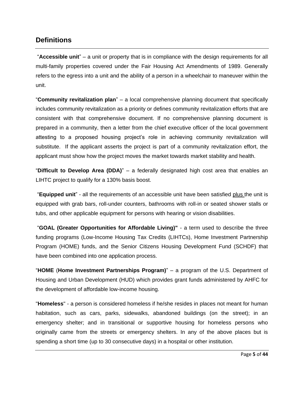### **Definitions**

"**Accessible unit**" – a unit or property that is in compliance with the design requirements for all multi-family properties covered under the Fair Housing Act Amendments of 1989. Generally refers to the egress into a unit and the ability of a person in a wheelchair to maneuver within the unit.

"**Community revitalization plan**" – a local comprehensive planning document that specifically includes community revitalization as a priority or defines community revitalization efforts that are consistent with that comprehensive document. If no comprehensive planning document is prepared in a community, then a letter from the chief executive officer of the local government attesting to a proposed housing project's role in achieving community revitalization will substitute. If the applicant asserts the project is part of a community revitalization effort, the applicant must show how the project moves the market towards market stability and health.

"**Difficult to Develop Area (DDA)**" – a federally designated high cost area that enables an LIHTC project to qualify for a 130% basis boost.

"**Equipped unit**" - all the requirements of an accessible unit have been satisfied plus the unit is equipped with grab bars, roll-under counters, bathrooms with roll-in or seated shower stalls or tubs, and other applicable equipment for persons with hearing or vision disabilities.

"**GOAL (Greater Opportunities for Affordable Living)"** - a term used to describe the three funding programs (Low-Income Housing Tax Credits (LIHTCs), Home Investment Partnership Program (HOME) funds, and the Senior Citizens Housing Development Fund (SCHDF) that have been combined into one application process.

"**HOME** (**Home Investment Partnerships Program)**" – a program of the U.S. Department of Housing and Urban Development (HUD) which provides grant funds administered by AHFC for the development of affordable low-income housing.

"**Homeless**" - a person is considered homeless if he/she resides in places not meant for human habitation, such as cars, parks, sidewalks, abandoned buildings (on the street); in an emergency shelter; and in transitional or supportive housing for homeless persons who originally came from the streets or emergency shelters. In any of the above places but is spending a short time (up to 30 consecutive days) in a hospital or other institution.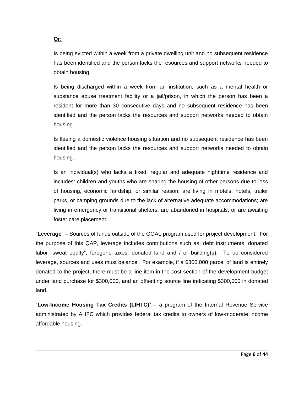#### **Or:**

Is being evicted within a week from a private dwelling unit and no subsequent residence has been identified and the person lacks the resources and support networks needed to obtain housing.

Is being discharged within a week from an institution, such as a mental health or substance abuse treatment facility or a jail/prison, in which the person has been a resident for more than 30 consecutive days and no subsequent residence has been identified and the person lacks the resources and support networks needed to obtain housing.

Is fleeing a domestic violence housing situation and no subsequent residence has been identified and the person lacks the resources and support networks needed to obtain housing.

Is an individual(s) who lacks a fixed, regular and adequate nighttime residence and includes: children and youths who are sharing the housing of other persons due to loss of housing, economic hardship, or similar reason; are living in motels, hotels, trailer parks, or camping grounds due to the lack of alternative adequate accommodations; are living in emergency or transitional shelters; are abandoned in hospitals; or are awaiting foster care placement.

"**Leverage**" – Sources of funds outside of the GOAL program used for project development. For the purpose of this QAP, leverage includes contributions such as: debt instruments, donated labor "sweat equity", foregone taxes, donated land and / or building(s). To be considered leverage, sources and uses must balance. For example, if a \$300,000 parcel of land is entirely donated to the project, there must be a line item in the cost section of the development budget under land purchase for \$300,000, and an offsetting source line indicating \$300,000 in donated land.

"**Low-Income Housing Tax Credits (LIHTC)**" – a program of the Internal Revenue Service administrated by AHFC which provides federal tax credits to owners of low-moderate income affordable housing.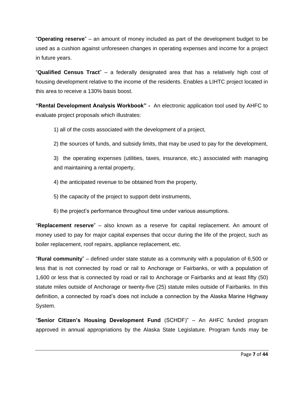"**Operating reserve**" – an amount of money included as part of the development budget to be used as a cushion against unforeseen changes in operating expenses and income for a project in future years.

"**Qualified Census Tract**" – a federally designated area that has a relatively high cost of housing development relative to the income of the residents. Enables a LIHTC project located in this area to receive a 130% basis boost.

**"Rental Development Analysis Workbook" -** An electronic application tool used by AHFC to evaluate project proposals which illustrates:

1) all of the costs associated with the development of a project,

2) the sources of funds, and subsidy limits, that may be used to pay for the development,

3) the operating expenses (utilities, taxes, insurance, etc.) associated with managing and maintaining a rental property,

4) the anticipated revenue to be obtained from the property,

5) the capacity of the project to support debt instruments,

6) the project's performance throughout time under various assumptions.

"**Replacement reserve**" – also known as a reserve for capital replacement. An amount of money used to pay for major capital expenses that occur during the life of the project, such as boiler replacement, roof repairs, appliance replacement, etc.

"**Rural community**" – defined under state statute as a community with a population of 6,500 or less that is not connected by road or rail to Anchorage or Fairbanks, or with a population of 1,600 or less that is connected by road or rail to Anchorage or Fairbanks and at least fifty (50) statute miles outside of Anchorage or twenty-five (25) statute miles outside of Fairbanks. In this definition, a connected by road's does not include a connection by the Alaska Marine Highway System.

"**Senior Citizen's Housing Development Fund** (SCHDF)" – An AHFC funded program approved in annual appropriations by the Alaska State Legislature. Program funds may be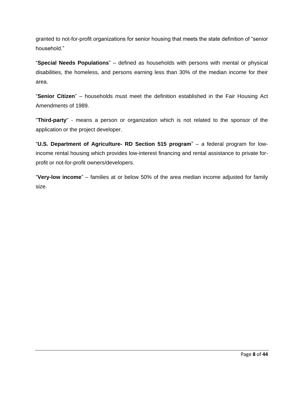granted to not-for-profit organizations for senior housing that meets the state definition of "senior household."

"**Special Needs Populations**" – defined as households with persons with mental or physical disabilities, the homeless, and persons earning less than 30% of the median income for their area.

"**Senior Citizen**" – households must meet the definition established in the Fair Housing Act Amendments of 1989.

"**Third-party**" - means a person or organization which is not related to the sponsor of the application or the project developer.

"**U.S. Department of Agriculture- RD Section 515 program**" – a federal program for lowincome rental housing which provides low-interest financing and rental assistance to private forprofit or not-for-profit owners/developers.

"**Very-low income**" – families at or below 50% of the area median income adjusted for family size.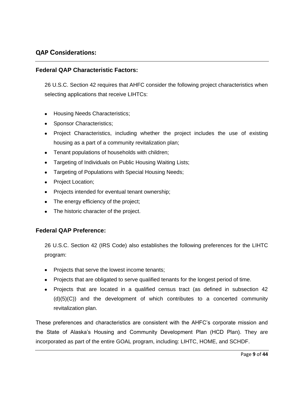#### **QAP Considerations:**

#### **Federal QAP Characteristic Factors:**

26 U.S.C. Section 42 requires that AHFC consider the following project characteristics when selecting applications that receive LIHTCs:

- Housing Needs Characteristics;
- Sponsor Characteristics;
- Project Characteristics, including whether the project includes the use of existing housing as a part of a community revitalization plan;
- Tenant populations of households with children;
- Targeting of Individuals on Public Housing Waiting Lists;
- **Targeting of Populations with Special Housing Needs;**
- Project Location;
- Projects intended for eventual tenant ownership;
- The energy efficiency of the project;
- The historic character of the project.

#### **Federal QAP Preference:**

26 U.S.C. Section 42 (IRS Code) also establishes the following preferences for the LIHTC program:

- Projects that serve the lowest income tenants;
- Projects that are obligated to serve qualified tenants for the longest period of time.
- Projects that are located in a qualified census tract (as defined in subsection 42 (d)(5)(C)) and the development of which contributes to a concerted community revitalization plan.

These preferences and characteristics are consistent with the AHFC's corporate mission and the State of Alaska's Housing and Community Development Plan (HCD Plan). They are incorporated as part of the entire GOAL program, including: LIHTC, HOME, and SCHDF.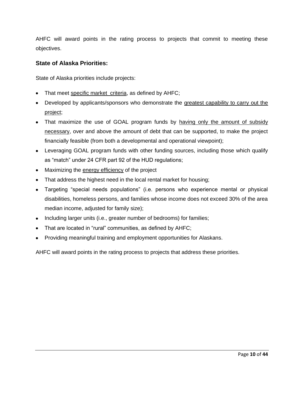AHFC will award points in the rating process to projects that commit to meeting these objectives.

#### **State of Alaska Priorities:**

State of Alaska priorities include projects:

- That meet specific market criteria, as defined by AHFC;
- Developed by applicants/sponsors who demonstrate the greatest capability to carry out the project;
- That maximize the use of GOAL program funds by having only the amount of subsidy necessary, over and above the amount of debt that can be supported, to make the project financially feasible (from both a developmental and operational viewpoint);
- Leveraging GOAL program funds with other funding sources, including those which qualify as "match" under 24 CFR part 92 of the HUD regulations;
- Maximizing the energy efficiency of the project
- That address the highest need in the local rental market for housing;
- Targeting "special needs populations" (i.e. persons who experience mental or physical disabilities, homeless persons, and families whose income does not exceed 30% of the area median income, adjusted for family size);
- Including larger units (i.e., greater number of bedrooms) for families;
- That are located in "rural" communities, as defined by AHFC;
- Providing meaningful training and employment opportunities for Alaskans.

AHFC will award points in the rating process to projects that address these priorities.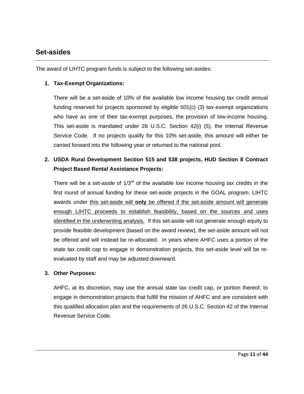### **Set-asides**

The award of LIHTC program funds is subject to the following set-asides:

#### **1. Tax-Exempt Organizations:**

There will be a set-aside of 10% of the available low income housing tax credit annual funding reserved for projects sponsored by eligible 501(c) (3) tax-exempt organizations who have as one of their tax-exempt purposes, the provision of low-income housing. This set-aside is mandated under 26 U.S.C. Section 42(i) (5), the Internal Revenue Service Code*.* If no projects qualify for this 10% set-aside, this amount will either be carried forward into the following year or returned to the national pool.

### **2. USDA Rural Development Section 515 and 538 projects, HUD Section 8 Contract Project Based Rental Assistance Projects:**

There will be a set-aside of  $1/3<sup>rd</sup>$  of the available low income housing tax credits in the first round of annual funding for these set-aside projects in the GOAL program. LIHTC awards under this set-aside will **only** be offered if the set-aside amount will generate enough LIHTC proceeds to establish feasibility, based on the sources and uses identified in the underwriting analysis*.* If this set-aside will not generate enough equity to provide feasible development (based on the award review), the set-aside amount will not be offered and will instead be re-allocated. In years where AHFC uses a portion of the state tax credit cap to engage in demonstration projects, this set-aside level will be reevaluated by staff and may be adjusted downward.

#### **3. Other Purposes:**

AHFC, at its discretion, may use the annual state tax credit cap, or portion thereof, to engage in demonstration projects that fulfill the mission of AHFC and are consistent with this qualified allocation plan and the requirements of 26 U.S.C. Section 42 of the Internal Revenue Service Code*.*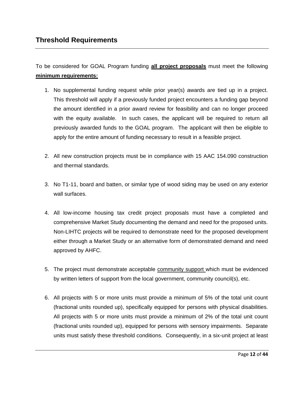To be considered for GOAL Program funding **all project proposals** must meet the following **minimum requirements:**

- 1. No supplemental funding request while prior year(s) awards are tied up in a project. This threshold will apply if a previously funded project encounters a funding gap beyond the amount identified in a prior award review for feasibility and can no longer proceed with the equity available. In such cases, the applicant will be required to return all previously awarded funds to the GOAL program. The applicant will then be eligible to apply for the entire amount of funding necessary to result in a feasible project.
- 2. All new construction projects must be in compliance with 15 AAC 154.090 construction and thermal standards.
- 3. No T1-11, board and batten, or similar type of wood siding may be used on any exterior wall surfaces.
- 4. All low-income housing tax credit project proposals must have a completed and comprehensive Market Study documenting the demand and need for the proposed units. Non-LIHTC projects will be required to demonstrate need for the proposed development either through a Market Study or an alternative form of demonstrated demand and need approved by AHFC.
- 5. The project must demonstrate acceptable community support which must be evidenced by written letters of support from the local government, community council(s), etc.
- 6. All projects with 5 or more units must provide a minimum of 5% of the total unit count (fractional units rounded up), specifically equipped for persons with physical disabilities. All projects with 5 or more units must provide a minimum of 2% of the total unit count (fractional units rounded up), equipped for persons with sensory impairments. Separate units must satisfy these threshold conditions. Consequently, in a six-unit project at least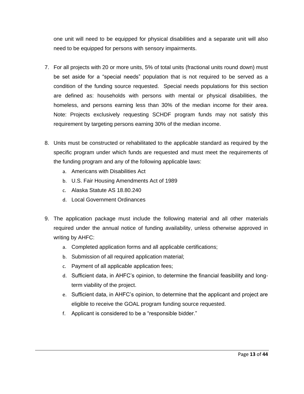one unit will need to be equipped for physical disabilities and a separate unit will also need to be equipped for persons with sensory impairments.

- 7. For all projects with 20 or more units, 5% of total units (fractional units round down) must be set aside for a "special needs" population that is not required to be served as a condition of the funding source requested. Special needs populations for this section are defined as: households with persons with mental or physical disabilities, the homeless, and persons earning less than 30% of the median income for their area. Note: Projects exclusively requesting SCHDF program funds may not satisfy this requirement by targeting persons earning 30% of the median income.
- 8. Units must be constructed or rehabilitated to the applicable standard as required by the specific program under which funds are requested and must meet the requirements of the funding program and any of the following applicable laws:
	- a. Americans with Disabilities Act
	- b. U.S. Fair Housing Amendments Act of 1989
	- c. Alaska Statute AS 18.80.240
	- d. Local Government Ordinances
- 9. The application package must include the following material and all other materials required under the annual notice of funding availability, unless otherwise approved in writing by AHFC:
	- a. Completed application forms and all applicable certifications;
	- b. Submission of all required application material;
	- c. Payment of all applicable application fees;
	- d. Sufficient data, in AHFC's opinion, to determine the financial feasibility and longterm viability of the project.
	- e. Sufficient data, in AHFC's opinion, to determine that the applicant and project are eligible to receive the GOAL program funding source requested.
	- f. Applicant is considered to be a "responsible bidder."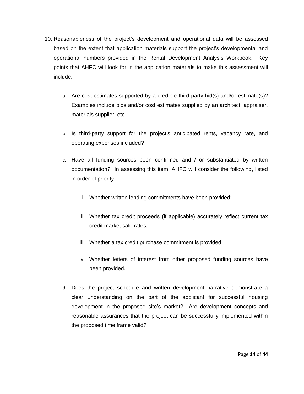- 10. Reasonableness of the project's development and operational data will be assessed based on the extent that application materials support the project's developmental and operational numbers provided in the Rental Development Analysis Workbook. Key points that AHFC will look for in the application materials to make this assessment will include:
	- a. Are cost estimates supported by a credible third-party bid(s) and/or estimate(s)? Examples include bids and/or cost estimates supplied by an architect, appraiser, materials supplier, etc.
	- b. Is third-party support for the project's anticipated rents, vacancy rate, and operating expenses included?
	- c. Have all funding sources been confirmed and / or substantiated by written documentation? In assessing this item, AHFC will consider the following, listed in order of priority:
		- i. Whether written lending commitments have been provided;
		- ii. Whether tax credit proceeds (if applicable) accurately reflect current tax credit market sale rates;
		- iii. Whether a tax credit purchase commitment is provided;
		- iv. Whether letters of interest from other proposed funding sources have been provided.
	- d. Does the project schedule and written development narrative demonstrate a clear understanding on the part of the applicant for successful housing development in the proposed site's market? Are development concepts and reasonable assurances that the project can be successfully implemented within the proposed time frame valid?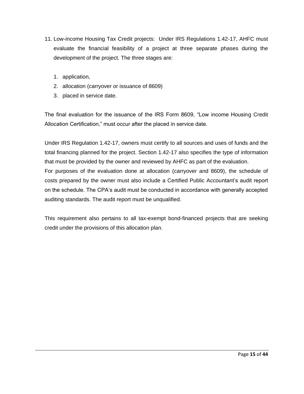- 11. Low-income Housing Tax Credit projects: Under IRS Regulations 1.42-17, AHFC must evaluate the financial feasibility of a project at three separate phases during the development of the project. The three stages are:
	- 1. application,
	- 2. allocation (carryover or issuance of 8609)
	- 3. placed in service date.

The final evaluation for the issuance of the IRS Form 8609, "Low income Housing Credit Allocation Certification," must occur after the placed in service date.

Under IRS Regulation 1.42-17, owners must certify to all sources and uses of funds and the total financing planned for the project. Section 1.42-17 also specifies the type of information that must be provided by the owner and reviewed by AHFC as part of the evaluation. For purposes of the evaluation done at allocation (carryover and 8609), the schedule of costs prepared by the owner must also include a Certified Public Accountant's audit report on the schedule. The CPA's audit must be conducted in accordance with generally accepted auditing standards. The audit report must be unqualified.

This requirement also pertains to all tax-exempt bond-financed projects that are seeking credit under the provisions of this allocation plan.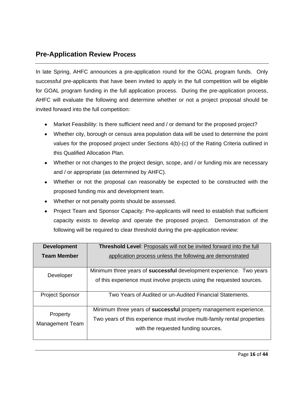## **Pre-Application Review Process**

In late Spring, AHFC announces a pre-application round for the GOAL program funds. Only successful pre-applicants that have been invited to apply in the full competition will be eligible for GOAL program funding in the full application process. During the pre-application process, AHFC will evaluate the following and determine whether or not a project proposal should be invited forward into the full competition:

- Market Feasibility: Is there sufficient need and / or demand for the proposed project?
- Whether city, borough or census area population data will be used to determine the point values for the proposed project under Sections 4(b)-(c) of the Rating Criteria outlined in this Qualified Allocation Plan.
- Whether or not changes to the project design, scope, and / or funding mix are necessary and / or appropriate (as determined by AHFC).
- Whether or not the proposal can reasonably be expected to be constructed with the proposed funding mix and development team.
- Whether or not penalty points should be assessed.
- Project Team and Sponsor Capacity: Pre-applicants will need to establish that sufficient capacity exists to develop and operate the proposed project. Demonstration of the following will be required to clear threshold during the pre-application review:

| <b>Development</b>                 | Threshold Level: Proposals will not be invited forward into the full       |  |  |
|------------------------------------|----------------------------------------------------------------------------|--|--|
| <b>Team Member</b>                 | application process unless the following are demonstrated                  |  |  |
|                                    |                                                                            |  |  |
| Developer                          | Minimum three years of <b>successful</b> development experience. Two years |  |  |
|                                    | of this experience must involve projects using the requested sources.      |  |  |
| <b>Project Sponsor</b>             | Two Years of Audited or un-Audited Financial Statements.                   |  |  |
|                                    | Minimum three years of successful property management experience.          |  |  |
| Property<br><b>Management Team</b> | Two years of this experience must involve multi-family rental properties   |  |  |
|                                    | with the requested funding sources.                                        |  |  |
|                                    |                                                                            |  |  |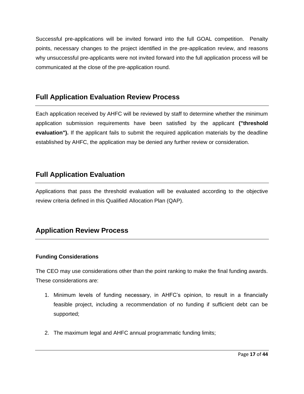Successful pre-applications will be invited forward into the full GOAL competition. Penalty points, necessary changes to the project identified in the pre-application review, and reasons why unsuccessful pre-applicants were not invited forward into the full application process will be communicated at the close of the pre-application round.

## **Full Application Evaluation Review Process**

Each application received by AHFC will be reviewed by staff to determine whether the minimum application submission requirements have been satisfied by the applicant **("threshold evaluation").** If the applicant fails to submit the required application materials by the deadline established by AHFC, the application may be denied any further review or consideration.

## **Full Application Evaluation**

Applications that pass the threshold evaluation will be evaluated according to the objective review criteria defined in this Qualified Allocation Plan (QAP).

## **Application Review Process**

#### **Funding Considerations**

The CEO may use considerations other than the point ranking to make the final funding awards. These considerations are:

- 1. Minimum levels of funding necessary, in AHFC's opinion, to result in a financially feasible project, including a recommendation of no funding if sufficient debt can be supported;
- 2. The maximum legal and AHFC annual programmatic funding limits;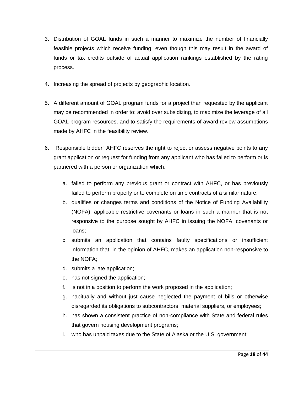- 3. Distribution of GOAL funds in such a manner to maximize the number of financially feasible projects which receive funding, even though this may result in the award of funds or tax credits outside of actual application rankings established by the rating process.
- 4. Increasing the spread of projects by geographic location.
- 5. A different amount of GOAL program funds for a project than requested by the applicant may be recommended in order to: avoid over subsidizing, to maximize the leverage of all GOAL program resources, and to satisfy the requirements of award review assumptions made by AHFC in the feasibility review.
- 6. "Responsible bidder" AHFC reserves the right to reject or assess negative points to any grant application or request for funding from any applicant who has failed to perform or is partnered with a person or organization which:
	- a. failed to perform any previous grant or contract with AHFC, or has previously failed to perform properly or to complete on time contracts of a similar nature;
	- b. qualifies or changes terms and conditions of the Notice of Funding Availability (NOFA), applicable restrictive covenants or loans in such a manner that is not responsive to the purpose sought by AHFC in issuing the NOFA, covenants or loans;
	- c. submits an application that contains faulty specifications or insufficient information that, in the opinion of AHFC, makes an application non-responsive to the NOFA;
	- d. submits a late application;
	- e. has not signed the application;
	- f. is not in a position to perform the work proposed in the application;
	- g. habitually and without just cause neglected the payment of bills or otherwise disregarded its obligations to subcontractors, material suppliers, or employees;
	- h. has shown a consistent practice of non-compliance with State and federal rules that govern housing development programs;
	- i. who has unpaid taxes due to the State of Alaska or the U.S. government;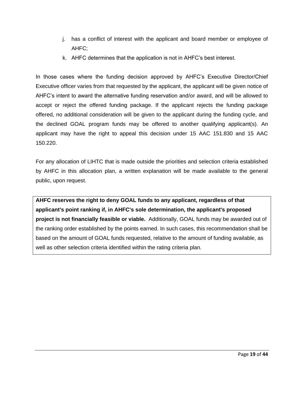- j. has a conflict of interest with the applicant and board member or employee of AHFC;
- k. AHFC determines that the application is not in AHFC's best interest.

In those cases where the funding decision approved by AHFC's Executive Director/Chief Executive officer varies from that requested by the applicant, the applicant will be given notice of AHFC's intent to award the alternative funding reservation and/or award, and will be allowed to accept or reject the offered funding package. If the applicant rejects the funding package offered, no additional consideration will be given to the applicant during the funding cycle, and the declined GOAL program funds may be offered to another qualifying applicant(s). An applicant may have the right to appeal this decision under 15 AAC 151.830 and 15 AAC 150.220.

For any allocation of LIHTC that is made outside the priorities and selection criteria established by AHFC in this allocation plan, a written explanation will be made available to the general public, upon request.

**AHFC reserves the right to deny GOAL funds to any applicant, regardless of that applicant's point ranking if, in AHFC's sole determination, the applicant's proposed project is not financially feasible or viable.** Additionally, GOAL funds may be awarded out of the ranking order established by the points earned. In such cases, this recommendation shall be based on the amount of GOAL funds requested, relative to the amount of funding available, as well as other selection criteria identified within the rating criteria plan.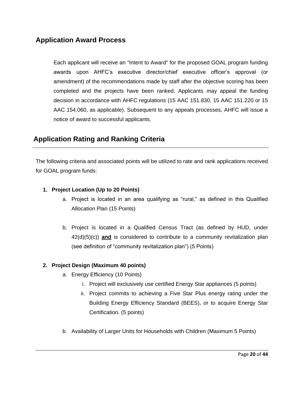## **Application Award Process**

Each applicant will receive an "Intent to Award" for the proposed GOAL program funding awards upon AHFC's executive director/chief executive officer's approval (or amendment) of the recommendations made by staff after the objective scoring has been completed and the projects have been ranked. Applicants may appeal the funding decision in accordance with AHFC regulations (15 AAC 151.830, 15 AAC 151.220 or 15 AAC 154.060, as applicable). Subsequent to any appeals processes, AHFC will issue a notice of award to successful applicants.

## **Application Rating and Ranking Criteria**

The following criteria and associated points will be utilized to rate and rank applications received for GOAL program funds:

#### **1. Project Location (Up to 20 Points)**

- a. Project is located in an area qualifying as "rural," as defined in this Qualified Allocation Plan (15 Points)
- b. Project is located in a Qualified Census Tract (as defined by HUD, under 42(d)(5)(c)) **and** is considered to contribute to a community revitalization plan (see definition of "community revitalization plan") (5 Points)

#### **2. Project Design (Maximum 40 points)**

- a. Energy Efficiency (10 Points)
	- i. Project will exclusively use certified Energy Star appliances (5 points)
	- ii. Project commits to achieving a Five Star Plus energy rating under the Building Energy Efficiency Standard (BEES), or to acquire Energy Star Certification. (5 points)
- b. Availability of Larger Units for Households with Children (Maximum 5 Points)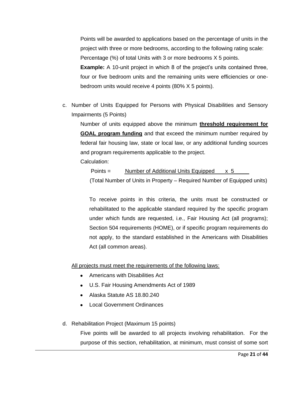Points will be awarded to applications based on the percentage of units in the project with three or more bedrooms, according to the following rating scale: Percentage (%) of total Units with 3 or more bedrooms X 5 points. **Example:** A 10-unit project in which 8 of the project's units contained three, four or five bedroom units and the remaining units were efficiencies or onebedroom units would receive 4 points (80% X 5 points).

c. Number of Units Equipped for Persons with Physical Disabilities and Sensory Impairments (5 Points)

Number of units equipped above the minimum **threshold requirement for GOAL program funding** and that exceed the minimum number required by federal fair housing law, state or local law, or any additional funding sources and program requirements applicable to the project.

Calculation:

Points = Number of Additional Units Equipped x 5

(Total Number of Units in Property – Required Number of Equipped units)

To receive points in this criteria, the units must be constructed or rehabilitated to the applicable standard required by the specific program under which funds are requested, i.e., Fair Housing Act (all programs); Section 504 requirements (HOME), or if specific program requirements do not apply, to the standard established in the Americans with Disabilities Act (all common areas).

All projects must meet the requirements of the following laws:

- Americans with Disabilities Act
- U.S. Fair Housing Amendments Act of 1989
- Alaska Statute AS 18.80.240
- Local Government Ordinances
- d. Rehabilitation Project (Maximum 15 points)

Five points will be awarded to all projects involving rehabilitation. For the purpose of this section, rehabilitation, at minimum, must consist of some sort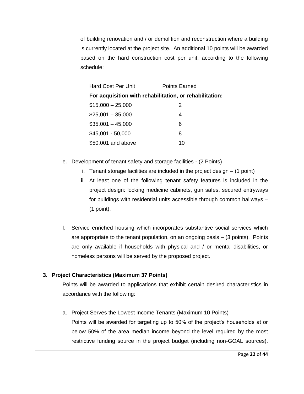of building renovation and / or demolition and reconstruction where a building is currently located at the project site. An additional 10 points will be awarded based on the hard construction cost per unit, according to the following schedule:

| <b>Hard Cost Per Unit</b>                               | <b>Points Earned</b> |  |  |  |
|---------------------------------------------------------|----------------------|--|--|--|
| For acquisition with rehabilitation, or rehabilitation: |                      |  |  |  |
| $$15,000 - 25,000$                                      | 2                    |  |  |  |
| $$25,001 - 35,000$                                      | 4                    |  |  |  |
| $$35,001 - 45,000$                                      | 6                    |  |  |  |
| $$45,001 - 50,000$                                      | 8                    |  |  |  |
| \$50,001 and above                                      | 10                   |  |  |  |

- e. Development of tenant safety and storage facilities (2 Points)
	- i. Tenant storage facilities are included in the project design (1 point)
	- ii. At least one of the following tenant safety features is included in the project design: locking medicine cabinets, gun safes, secured entryways for buildings with residential units accessible through common hallways – (1 point).
- f. Service enriched housing which incorporates substantive social services which are appropriate to the tenant population, on an ongoing basis – (3 points). Points are only available if households with physical and / or mental disabilities, or homeless persons will be served by the proposed project.

#### **3. Project Characteristics (Maximum 37 Points)**

Points will be awarded to applications that exhibit certain desired characteristics in accordance with the following:

a. Project Serves the Lowest Income Tenants (Maximum 10 Points) Points will be awarded for targeting up to 50% of the project's households at or below 50% of the area median income beyond the level required by the most restrictive funding source in the project budget (including non-GOAL sources).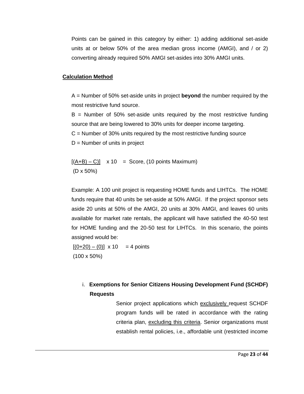Points can be gained in this category by either: 1) adding additional set-aside units at or below 50% of the area median gross income (AMGI), and / or 2) converting already required 50% AMGI set-asides into 30% AMGI units.

#### **Calculation Method**

A = Number of 50% set-aside units in project **beyond** the number required by the most restrictive fund source.

 $B =$  Number of 50% set-aside units required by the most restrictive funding source that are being lowered to 30% units for deeper income targeting.  $C =$  Number of 30% units required by the most restrictive funding source  $D =$  Number of units in project

 $[(A+B) - C]$  x 10 = Score, (10 points Maximum) (D x 50%)

Example: A 100 unit project is requesting HOME funds and LIHTCs. The HOME funds require that 40 units be set-aside at 50% AMGI. If the project sponsor sets aside 20 units at 50% of the AMGI, 20 units at 30% AMGI, and leaves 60 units available for market rate rentals, the applicant will have satisfied the 40-50 test for HOME funding and the 20-50 test for LIHTCs. In this scenario, the points assigned would be:

 $[(0+20) - (0)] \times 10 = 4$  points (100 x 50%)

> i. **Exemptions for Senior Citizens Housing Development Fund (SCHDF) Requests**

> > Senior project applications which exclusively request SCHDF program funds will be rated in accordance with the rating criteria plan, excluding this criteria. Senior organizations must establish rental policies, i.e., affordable unit (restricted income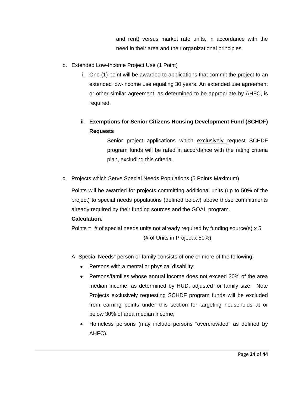and rent) versus market rate units, in accordance with the need in their area and their organizational principles.

- b. Extended Low-Income Project Use (1 Point)
	- i. One (1) point will be awarded to applications that commit the project to an extended low-income use equaling 30 years. An extended use agreement or other similar agreement, as determined to be appropriate by AHFC, is required.
	- ii. **Exemptions for Senior Citizens Housing Development Fund (SCHDF) Requests**

Senior project applications which exclusively request SCHDF program funds will be rated in accordance with the rating criteria plan, excluding this criteria.

c. Projects which Serve Special Needs Populations (5 Points Maximum)

Points will be awarded for projects committing additional units (up to 50% of the project) to special needs populations (defined below) above those commitments already required by their funding sources and the GOAL program. **Calculation**:

Points  $=$  # of special needs units not already required by funding source(s)  $\times$  5 (# of Units in Project x 50%)

- A "Special Needs" person or family consists of one or more of the following:
	- Persons with a mental or physical disability;
	- Persons/families whose annual income does not exceed 30% of the area  $\bullet$ median income, as determined by HUD, adjusted for family size. Note Projects exclusively requesting SCHDF program funds will be excluded from earning points under this section for targeting households at or below 30% of area median income;
	- Homeless persons (may include persons "overcrowded" as defined by AHFC).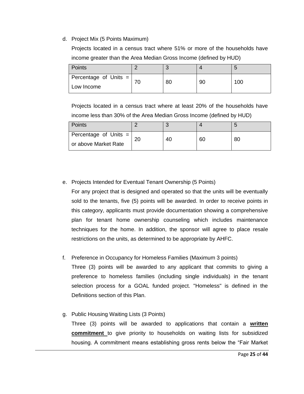#### d. Project Mix (5 Points Maximum)

Projects located in a census tract where 51% or more of the households have income greater than the Area Median Gross Income (defined by HUD)

| <b>Points</b>           |    |    |     |
|-------------------------|----|----|-----|
| Percentage of Units $=$ | 80 | 90 | 100 |
| Low Income              |    |    |     |

Projects located in a census tract where at least 20% of the households have income less than 30% of the Area Median Gross Income (defined by HUD)

| Points                  |    |    |    |
|-------------------------|----|----|----|
| Percentage of Units $=$ | 40 | 60 | 80 |
| or above Market Rate    |    |    |    |

#### e. Projects Intended for Eventual Tenant Ownership (5 Points)

For any project that is designed and operated so that the units will be eventually sold to the tenants, five (5) points will be awarded. In order to receive points in this category, applicants must provide documentation showing a comprehensive plan for tenant home ownership counseling which includes maintenance techniques for the home. In addition, the sponsor will agree to place resale restrictions on the units, as determined to be appropriate by AHFC.

#### f. Preference in Occupancy for Homeless Families (Maximum 3 points)

Three (3) points will be awarded to any applicant that commits to giving a preference to homeless families (including single individuals) in the tenant selection process for a GOAL funded project. "Homeless" is defined in the Definitions section of this Plan.

#### g. Public Housing Waiting Lists (3 Points)

Three (3) points will be awarded to applications that contain a **written commitment** to give priority to households on waiting lists for subsidized housing. A commitment means establishing gross rents below the "Fair Market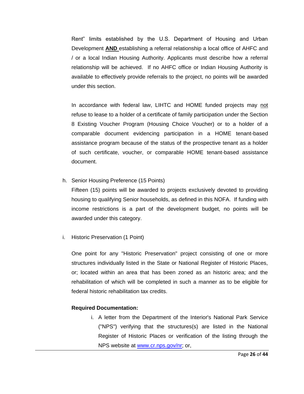Rent" limits established by the U.S. Department of Housing and Urban Development **AND** establishing a referral relationship a local office of AHFC and / or a local Indian Housing Authority. Applicants must describe how a referral relationship will be achieved. If no AHFC office or Indian Housing Authority is available to effectively provide referrals to the project, no points will be awarded under this section.

In accordance with federal law, LIHTC and HOME funded projects may not refuse to lease to a holder of a certificate of family participation under the Section 8 Existing Voucher Program (Housing Choice Voucher) or to a holder of a comparable document evidencing participation in a HOME tenant-based assistance program because of the status of the prospective tenant as a holder of such certificate, voucher, or comparable HOME tenant-based assistance document.

h. Senior Housing Preference (15 Points)

Fifteen (15) points will be awarded to projects exclusively devoted to providing housing to qualifying Senior households, as defined in this NOFA. If funding with income restrictions is a part of the development budget, no points will be awarded under this category.

i. Historic Preservation (1 Point)

One point for any "Historic Preservation" project consisting of one or more structures individually listed in the State or National Register of Historic Places, or; located within an area that has been zoned as an historic area; and the rehabilitation of which will be completed in such a manner as to be eligible for federal historic rehabilitation tax credits.

#### **Required Documentation:**

i. A letter from the Department of the Interior's National Park Service ("NPS") verifying that the structures(s) are listed in the National Register of Historic Places or verification of the listing through the NPS website at [www.cr.nps.gov/nr;](http://www.cr.nps.gov/nr) or,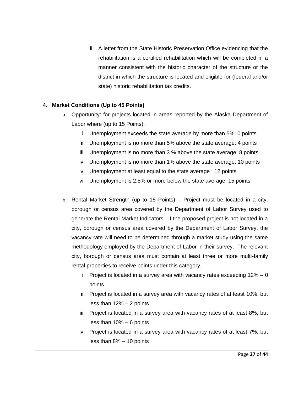ii. A letter from the State Historic Preservation Office evidencing that the rehabilitation is a certified rehabilitation which will be completed in a manner consistent with the historic character of the structure or the district in which the structure is located and eligible for (federal and/or state) historic rehabilitation tax credits.

#### **4. Market Conditions (Up to 45 Points)**

- a. Opportunity: for projects located in areas reported by the Alaska Department of Labor where (up to 15 Points):
	- i. Unemployment exceeds the state average by more than 5%: 0 points
	- ii. Unemployment is no more than 5% above the state average: 4 points
	- iii. Unemployment is no more than 3 % above the state average: 8 points
	- iv. Unemployment is no more than 1% above the state average: 10 points
	- v. Unemployment at least equal to the state average : 12 points
	- vi. Unemployment is 2.5% or more below the state average: 15 points
- b. Rental Market Strength (up to 15 Points) Project must be located in a city, borough or census area covered by the Department of Labor Survey used to generate the Rental Market Indicators. If the proposed project is not located in a city, borough or census area covered by the Department of Labor Survey, the vacancy rate will need to be determined through a market study using the same methodology employed by the Department of Labor in their survey. The relevant city, borough or census area must contain at least three or more multi-family rental properties to receive points under this category.
	- i. Project is located in a survey area with vacancy rates exceeding  $12\% 0$ points
	- ii. Project is located in a survey area with vacancy rates of at least 10%, but less than 12% – 2 points
	- iii. Project is located in a survey area with vacancy rates of at least 8%, but less than 10% – 6 points
	- iv. Project is located in a survey area with vacancy rates of at least 7%, but less than 8% – 10 points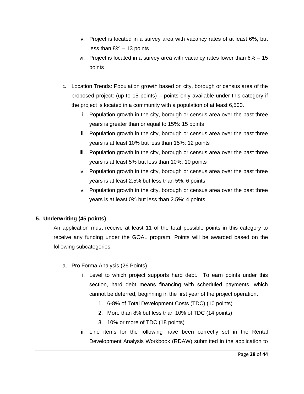- v. Project is located in a survey area with vacancy rates of at least 6%, but less than 8% – 13 points
- vi. Project is located in a survey area with vacancy rates lower than 6% 15 points
- c. Location Trends: Population growth based on city, borough or census area of the proposed project: (up to 15 points) – points only available under this category if the project is located in a community with a population of at least 6,500.
	- i. Population growth in the city, borough or census area over the past three years is greater than or equal to 15%: 15 points
	- ii. Population growth in the city, borough or census area over the past three years is at least 10% but less than 15%: 12 points
	- iii. Population growth in the city, borough or census area over the past three years is at least 5% but less than 10%: 10 points
	- iv. Population growth in the city, borough or census area over the past three years is at least 2.5% but less than 5%: 6 points
	- v. Population growth in the city, borough or census area over the past three years is at least 0% but less than 2.5%: 4 points

#### **5. Underwriting (45 points)**

An application must receive at least 11 of the total possible points in this category to receive any funding under the GOAL program. Points will be awarded based on the following subcategories:

- a. Pro Forma Analysis (26 Points)
	- i. Level to which project supports hard debt. To earn points under this section, hard debt means financing with scheduled payments, which cannot be deferred, beginning in the first year of the project operation.
		- 1. 6-8% of Total Development Costs (TDC) (10 points)
		- 2. More than 8% but less than 10% of TDC (14 points)
		- 3. 10% or more of TDC (18 points)
	- ii. Line items for the following have been correctly set in the Rental Development Analysis Workbook (RDAW) submitted in the application to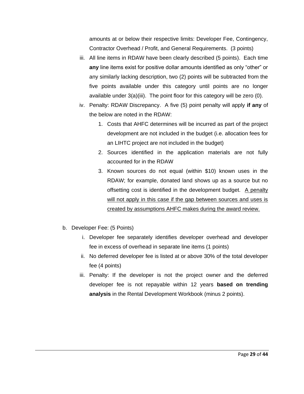amounts at or below their respective limits: Developer Fee, Contingency, Contractor Overhead / Profit, and General Requirements. (3 points)

- iii. All line items in RDAW have been clearly described (5 points). Each time **any** line items exist for positive dollar amounts identified as only "other" or any similarly lacking description, two (2) points will be subtracted from the five points available under this category until points are no longer available under 3(a)(iii). The point floor for this category will be zero (0).
- iv. Penalty: RDAW Discrepancy. A five (5) point penalty will apply **if any** of the below are noted in the RDAW:
	- 1. Costs that AHFC determines will be incurred as part of the project development are not included in the budget (i.e. allocation fees for an LIHTC project are not included in the budget)
	- 2. Sources identified in the application materials are not fully accounted for in the RDAW
	- 3. Known sources do not equal (within \$10) known uses in the RDAW; for example, donated land shows up as a source but no offsetting cost is identified in the development budget. A penalty will not apply in this case if the gap between sources and uses is created by assumptions AHFC makes during the award review.
- b. Developer Fee: (5 Points)
	- i. Developer fee separately identifies developer overhead and developer fee in excess of overhead in separate line items (1 points)
	- ii. No deferred developer fee is listed at or above 30% of the total developer fee (4 points)
	- iii. Penalty: If the developer is not the project owner and the deferred developer fee is not repayable within 12 years **based on trending analysis** in the Rental Development Workbook (minus 2 points).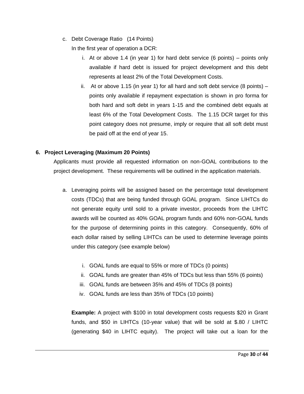c. Debt Coverage Ratio (14 Points)

In the first year of operation a DCR:

- i. At or above 1.4 (in year 1) for hard debt service (6 points) points only available if hard debt is issued for project development and this debt represents at least 2% of the Total Development Costs.
- ii. At or above 1.15 (in year 1) for all hard and soft debt service  $(8 \text{ points})$ points only available if repayment expectation is shown in pro forma for both hard and soft debt in years 1-15 and the combined debt equals at least 6% of the Total Development Costs. The 1.15 DCR target for this point category does not presume, imply or require that all soft debt must be paid off at the end of year 15.

#### **6. Project Leveraging (Maximum 20 Points)**

Applicants must provide all requested information on non-GOAL contributions to the project development. These requirements will be outlined in the application materials.

- a. Leveraging points will be assigned based on the percentage total development costs (TDCs) that are being funded through GOAL program. Since LIHTCs do not generate equity until sold to a private investor, proceeds from the LIHTC awards will be counted as 40% GOAL program funds and 60% non-GOAL funds for the purpose of determining points in this category. Consequently, 60% of each dollar raised by selling LIHTCs can be used to determine leverage points under this category (see example below)
	- i. GOAL funds are equal to 55% or more of TDCs (0 points)
	- ii. GOAL funds are greater than 45% of TDCs but less than 55% (6 points)
	- iii. GOAL funds are between 35% and 45% of TDCs (8 points)
	- iv. GOAL funds are less than 35% of TDCs (10 points)

**Example:** A project with \$100 in total development costs requests \$20 in Grant funds, and \$50 in LIHTCs (10-year value) that will be sold at \$.80 / LIHTC (generating \$40 in LIHTC equity). The project will take out a loan for the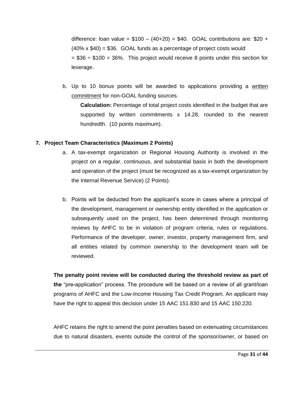difference: loan value =  $$100 - (40+20) = $40$ . GOAL contributions are: \$20 + (40% x \$40) = \$36. GOAL funds as a percentage of project costs would  $= $36 \div $100 = 36\%$ . This project would receive 8 points under this section for leverage.

b. Up to 10 bonus points will be awarded to applications providing a written commitment for non-GOAL funding sources.

**Calculation:** Percentage of total project costs identified in the budget that are supported by written commitments x 14.28, rounded to the nearest hundredth. (10 points maximum).

#### **7. Project Team Characteristics (Maximum 2 Points)**

- a. A tax-exempt organization or Regional Housing Authority is involved in the project on a regular, continuous, and substantial basis in both the development and operation of the project (must be recognized as a tax-exempt organization by the Internal Revenue Service) (2 Points).
- b. Points will be deducted from the applicant's score in cases where a principal of the development, management or ownership entity identified in the application or subsequently used on the project, has been determined through monitoring reviews by AHFC to be in violation of program criteria, rules or regulations. Performance of the developer, owner, investor, property management firm, and all entities related by common ownership to the development team will be reviewed.

**The penalty point review will be conducted during the threshold review as part of the** "pre**-**application" process. The procedure will be based on a review of all grant/loan programs of AHFC and the Low-Income Housing Tax Credit Program. An applicant may have the right to appeal this decision under 15 AAC 151.830 and 15 AAC 150.220.

AHFC retains the right to amend the point penalties based on extenuating circumstances due to natural disasters, events outside the control of the sponsor/owner, or based on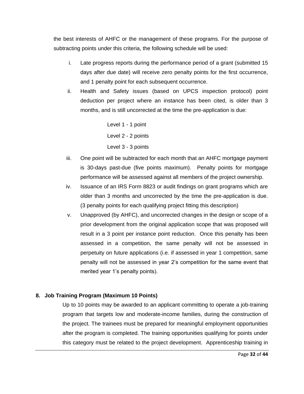the best interests of AHFC or the management of these programs. For the purpose of subtracting points under this criteria, the following schedule will be used:

- i. Late progress reports during the performance period of a grant (submitted 15 days after due date) will receive zero penalty points for the first occurrence, and 1 penalty point for each subsequent occurrence.
- ii. Health and Safety issues (based on UPCS inspection protocol) point deduction per project where an instance has been cited, is older than 3 months, and is still uncorrected at the time the pre-application is due:

Level 1 - 1 point Level 2 - 2 points Level 3 - 3 points

- iii. One point will be subtracted for each month that an AHFC mortgage payment is 30-days past-due (five points maximum). Penalty points for mortgage performance will be assessed against all members of the project ownership.
- iv. Issuance of an IRS Form 8823 or audit findings on grant programs which are older than 3 months and uncorrected by the time the pre-application is due. (3 penalty points for each qualifying project fitting this description)
- v. Unapproved (by AHFC), and uncorrected changes in the design or scope of a prior development from the original application scope that was proposed will result in a 3 point per instance point reduction. Once this penalty has been assessed in a competition, the same penalty will not be assessed in perpetuity on future applications (i.e. if assessed in year 1 competition, same penalty will not be assessed in year 2's competition for the same event that merited year 1's penalty points).

#### **8. Job Training Program (Maximum 10 Points)**

Up to 10 points may be awarded to an applicant committing to operate a job-training program that targets low and moderate-income families, during the construction of the project. The trainees must be prepared for meaningful employment opportunities after the program is completed. The training opportunities qualifying for points under this category must be related to the project development. Apprenticeship training in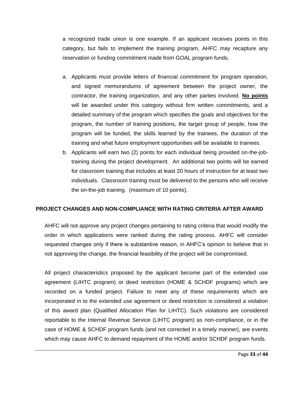a recognized trade union is one example. If an applicant receives points in this category, but fails to implement the training program, AHFC may recapture any reservation or funding commitment made from GOAL program funds.

- a. Applicants must provide letters of financial commitment for program operation, and signed memorandums of agreement between the project owner, the contractor, the training organization, and any other parties involved. **No points**  will be awarded under this category without firm written commitments, and a detailed summary of the program which specifies the goals and objectives for the program, the number of training positions, the target group of people, how the program will be funded, the skills learned by the trainees, the duration of the training and what future employment opportunities will be available to trainees.
- b. Applicants will earn two (2) points for each individual being provided on-the-jobtraining during the project development. An additional two points will be earned for classroom training that includes at least 20 hours of instruction for at least two individuals. Classroom training must be delivered to the persons who will receive the on-the-job training. (maximum of 10 points).

#### **PROJECT CHANGES AND NON-COMPLIANCE WITH RATING CRITERIA AFTER AWARD**

AHFC will not approve any project changes pertaining to rating criteria that would modify the order in which applications were ranked during the rating process. AHFC will consider requested changes only if there is substantive reason, in AHFC's opinion to believe that in not approving the change, the financial feasibility of the project will be compromised.

All project characteristics proposed by the applicant become part of the extended use agreement (LIHTC program) or deed restriction (HOME & SCHDF programs) which are recorded on a funded project. Failure to meet any of these requirements which are incorporated in to the extended use agreement or deed restriction is considered a violation of this award plan (Qualified Allocation Plan for LIHTC). Such violations are considered reportable to the Internal Revenue Service (LIHTC program) as non-compliance, or in the case of HOME & SCHDF program funds (and not corrected in a timely manner), are events which may cause AHFC to demand repayment of the HOME and/or SCHDF program funds.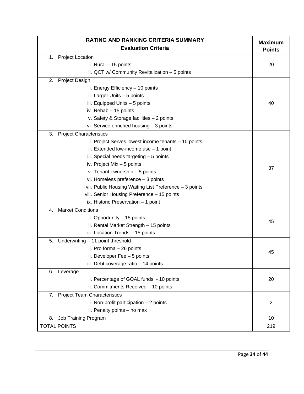| RATING AND RANKING CRITERIA SUMMARY                    |                |
|--------------------------------------------------------|----------------|
| <b>Evaluation Criteria</b>                             |                |
| <b>Project Location</b><br>1.                          |                |
| i. Rural - 15 points                                   | 20             |
| ii. QCT w/ Community Revitalization - 5 points         |                |
| 2.<br><b>Project Design</b>                            |                |
| i. Energy Efficiency - 10 points                       |                |
| ii. Larger Units - 5 points                            |                |
| iii. Equipped Units - 5 points                         | 40             |
| iv. Rehab - 15 points                                  |                |
| v. Safety & Storage facilities - 2 points              |                |
| vi. Service enriched housing - 3 points                |                |
| <b>Project Characteristics</b><br>3.                   |                |
| i. Project Serves lowest income tenants - 10 points    |                |
| ii. Extended low-income use - 1 point                  |                |
| iii. Special needs targeting - 5 points                |                |
| iv. Project Mix - 5 points                             | 37             |
| v. Tenant ownership - 5 points                         |                |
| vi. Homeless preference - 3 points                     |                |
| vii. Public Housing Waiting List Preference - 3 points |                |
| viii. Senior Housing Preference - 15 points            |                |
| ix. Historic Preservation - 1 point                    |                |
| <b>Market Conditions</b><br>4.                         |                |
| i. Opportunity - 15 points                             | 45             |
| ii. Rental Market Strength - 15 points                 |                |
| iii. Location Trends - 15 points                       |                |
| Underwriting - 11 point threshold<br>5.                |                |
| i. Pro forma - 26 points                               | 45             |
| ii. Developer Fee - 5 points                           |                |
| iii. Debt coverage ratio - 14 points                   |                |
| 6. Leverage                                            |                |
| i. Percentage of GOAL funds - 10 points                | 20             |
| ii. Commitments Received - 10 points                   |                |
| 7. Project Team Characteristics                        |                |
| i. Non-profit participation $-2$ points                | $\overline{2}$ |
| ii. Penalty points - no max                            |                |
| Job Training Program<br>8.                             | 10             |
| <b>TOTAL POINTS</b>                                    | 219            |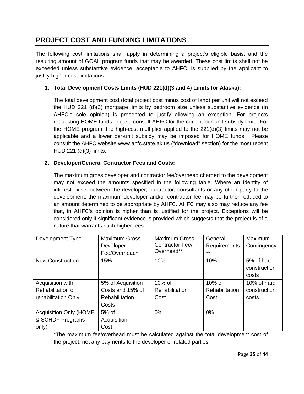## **PROJECT COST AND FUNDING LIMITATIONS**

The following cost limitations shall apply in determining a project's eligible basis, and the resulting amount of GOAL program funds that may be awarded. These cost limits shall not be exceeded unless substantive evidence, acceptable to AHFC, is supplied by the applicant to justify higher cost limitations.

#### **1. Total Development Costs Limits (HUD 221(d)(3 and 4) Limits for Alaska):**

The total development cost (total project cost minus cost of land) per unit will not exceed the HUD 221 (d)(3) mortgage limits by bedroom size unless substantive evidence (in AHFC's sole opinion) is presented to justify allowing an exception. For projects requesting HOME funds, please consult AHFC for the current per-unit subsidy limit. For the HOME program, the high-cost multiplier applied to the  $221(d)(3)$  limits may not be applicable and a lower per-unit subsidy may be imposed for HOME funds. Please consult the AHFC website www.ahfc.state.ak.us ("download" section) for the most recent HUD 221 (d)(3) limits.

#### **2. Developer/General Contractor Fees and Costs:**

The maximum gross developer and contractor fee/overhead charged to the development may not exceed the amounts specified in the following table. Where an identity of interest exists between the developer, contractor, consultants or any other party to the development, the maximum developer and/or contractor fee may be further reduced to an amount determined to be appropriate by AHFC. AHFC may also may reduce any fee that, in AHFC's opinion is higher than is justified for the project. Exceptions will be considered only if significant evidence is provided which suggests that the project is of a nature that warrants such higher fees.

| Development Type              | <b>Maximum Gross</b><br>Developer<br>Fee/Overhead* | <b>Maximum Gross</b><br>Contractor Fee/<br>Overhead** | General<br>Requirements<br>$***$ | Maximum<br>Contingency              |
|-------------------------------|----------------------------------------------------|-------------------------------------------------------|----------------------------------|-------------------------------------|
| <b>New Construction</b>       | 15%                                                | 10%                                                   | 10%                              | 5% of hard<br>construction<br>costs |
| Acquisition with              | 5% of Acquisition                                  | $10\%$ of                                             | $10\%$ of                        | 10% of hard                         |
| Rehabilitation or             | Costs and 15% of                                   | <b>Rehabilitation</b>                                 | Rehabilitation                   | construction                        |
| rehabilitation Only           | Rehabilitation                                     | Cost                                                  | Cost                             | costs                               |
|                               | Costs                                              |                                                       |                                  |                                     |
| <b>Acquisition Only (HOME</b> | $5%$ of                                            | $0\%$                                                 | 0%                               |                                     |
| & SCHDF Programs              | Acquisition                                        |                                                       |                                  |                                     |
| only)                         | Cost                                               |                                                       |                                  |                                     |

\*The maximum fee/overhead must be calculated against the total development cost of the project, net any payments to the developer or related parties.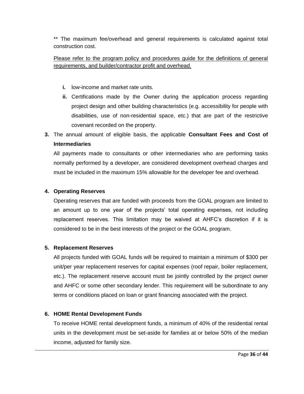\*\* The maximum fee/overhead and general requirements is calculated against total construction cost.

#### Please refer to the program policy and procedures guide for the definitions of general requirements, and builder/contractor profit and overhead.

- **i.** low-income and market rate units.
- **ii.** Certifications made by the Owner during the application process regarding project design and other building characteristics (e.g. accessibility for people with disabilities, use of non-residential space, etc.) that are part of the restrictive covenant recorded on the property.
- **3.** The annual amount of eligible basis, the applicable **Consultant Fees and Cost of Intermediaries**

All payments made to consultants or other intermediaries who are performing tasks normally performed by a developer, are considered development overhead charges and must be included in the maximum 15% allowable for the developer fee and overhead.

#### **4. Operating Reserves**

Operating reserves that are funded with proceeds from the GOAL program are limited to an amount up to one year of the projects' total operating expenses, not including replacement reserves. This limitation may be waived at AHFC's discretion if it is considered to be in the best interests of the project or the GOAL program.

#### **5. Replacement Reserves**

All projects funded with GOAL funds will be required to maintain a minimum of \$300 per unit/per year replacement reserves for capital expenses (roof repair, boiler replacement, etc.). The replacement reserve account must be jointly controlled by the project owner and AHFC or some other secondary lender. This requirement will be subordinate to any terms or conditions placed on loan or grant financing associated with the project.

#### **6. HOME Rental Development Funds**

To receive HOME rental development funds, a minimum of 40% of the residential rental units in the development must be set-aside for families at or below 50% of the median income, adjusted for family size.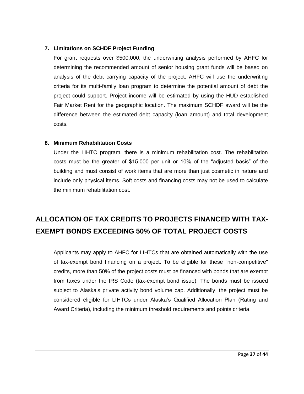#### **7. Limitations on SCHDF Project Funding**

For grant requests over \$500,000, the underwriting analysis performed by AHFC for determining the recommended amount of senior housing grant funds will be based on analysis of the debt carrying capacity of the project. AHFC will use the underwriting criteria for its multi-family loan program to determine the potential amount of debt the project could support. Project income will be estimated by using the HUD established Fair Market Rent for the geographic location. The maximum SCHDF award will be the difference between the estimated debt capacity (loan amount) and total development costs*.* 

#### **8. Minimum Rehabilitation Costs**

Under the LIHTC program, there is a minimum rehabilitation cost. The rehabilitation costs must be the greater of \$15,000 per unit or 10% of the "adjusted basis" of the building and must consist of work items that are more than just cosmetic in nature and include only physical items. Soft costs and financing costs may not be used to calculate the minimum rehabilitation cost.

## **ALLOCATION OF TAX CREDITS TO PROJECTS FINANCED WITH TAX-EXEMPT BONDS EXCEEDING 50% OF TOTAL PROJECT COSTS**

Applicants may apply to AHFC for LIHTCs that are obtained automatically with the use of tax-exempt bond financing on a project. To be eligible for these "non-competitive" credits, more than 50% of the project costs must be financed with bonds that are exempt from taxes under the IRS Code (tax-exempt bond issue). The bonds must be issued subject to Alaska's private activity bond volume cap. Additionally, the project must be considered eligible for LIHTCs under Alaska's Qualified Allocation Plan (Rating and Award Criteria), including the minimum threshold requirements and points criteria.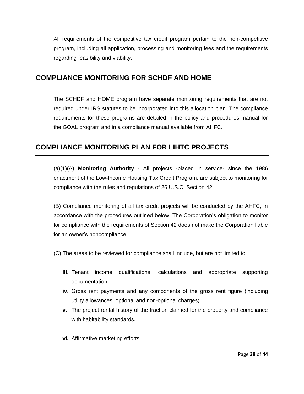All requirements of the competitive tax credit program pertain to the non-competitive program, including all application, processing and monitoring fees and the requirements regarding feasibility and viability.

## **COMPLIANCE MONITORING FOR SCHDF AND HOME**

The SCHDF and HOME program have separate monitoring requirements that are not required under IRS statutes to be incorporated into this allocation plan. The compliance requirements for these programs are detailed in the policy and procedures manual for the GOAL program and in a compliance manual available from AHFC.

## **COMPLIANCE MONITORING PLAN FOR LIHTC PROJECTS**

(a)(1)(A) **Monitoring Authority** - All projects -placed in service- since the 1986 enactment of the Low-Income Housing Tax Credit Program, are subject to monitoring for compliance with the rules and regulations of 26 U.S.C. Section 42.

(B) Compliance monitoring of all tax credit projects will be conducted by the AHFC, in accordance with the procedures outlined below. The Corporation's obligation to monitor for compliance with the requirements of Section 42 does not make the Corporation liable for an owner's noncompliance.

(C) The areas to be reviewed for compliance shall include, but are not limited to:

- **iii.** Tenant income qualifications, calculations and appropriate supporting documentation.
- **iv.** Gross rent payments and any components of the gross rent figure (including utility allowances, optional and non-optional charges).
- **v.** The project rental history of the fraction claimed for the property and compliance with habitability standards.
- **vi.** Affirmative marketing efforts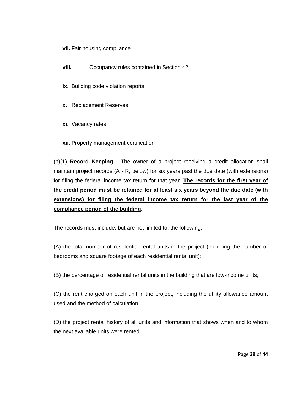#### **vii.** Fair housing compliance

- **viii.** Occupancy rules contained in Section 42
- **ix.** Building code violation reports
- **x.** Replacement Reserves
- **xi.** Vacancy rates
- **xii.** Property management certification

(b)(1) **Record Keeping** - The owner of a project receiving a credit allocation shall maintain project records (A - R, below) for six years past the due date (with extensions) for filing the federal income tax return for that year. **The records for the first year of the credit period must be retained for at least six years beyond the due date (with extensions) for filing the federal income tax return for the last year of the compliance period of the building.** 

The records must include, but are not limited to, the following:

(A) the total number of residential rental units in the project (including the number of bedrooms and square footage of each residential rental unit);

(B) the percentage of residential rental units in the building that are low-income units;

(C) the rent charged on each unit in the project, including the utility allowance amount used and the method of calculation;

(D) the project rental history of all units and information that shows when and to whom the next available units were rented;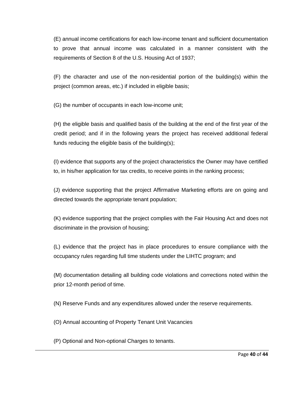(E) annual income certifications for each low-income tenant and sufficient documentation to prove that annual income was calculated in a manner consistent with the requirements of Section 8 of the U.S. Housing Act of 1937;

(F) the character and use of the non-residential portion of the building(s) within the project (common areas, etc.) if included in eligible basis;

(G) the number of occupants in each low-income unit;

(H) the eligible basis and qualified basis of the building at the end of the first year of the credit period; and if in the following years the project has received additional federal funds reducing the eligible basis of the building(s);

(I) evidence that supports any of the project characteristics the Owner may have certified to, in his/her application for tax credits, to receive points in the ranking process;

(J) evidence supporting that the project Affirmative Marketing efforts are on going and directed towards the appropriate tenant population;

(K) evidence supporting that the project complies with the Fair Housing Act and does not discriminate in the provision of housing;

(L) evidence that the project has in place procedures to ensure compliance with the occupancy rules regarding full time students under the LIHTC program; and

(M) documentation detailing all building code violations and corrections noted within the prior 12-month period of time.

(N) Reserve Funds and any expenditures allowed under the reserve requirements.

(O) Annual accounting of Property Tenant Unit Vacancies

(P) Optional and Non-optional Charges to tenants.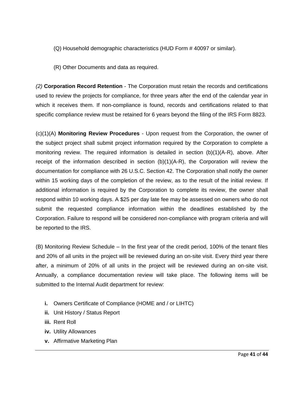- (Q) Household demographic characteristics (HUD Form # 40097 or similar).
- (R) Other Documents and data as required.

*(2)* **Corporation Record Retention** - The Corporation must retain the records and certifications used to review the projects for compliance, for three years after the end of the calendar year in which it receives them. If non-compliance is found, records and certifications related to that specific compliance review must be retained for 6 years beyond the filing of the IRS Form 8823.

(c)(1)(A) **Monitoring Review Procedures** - Upon request from the Corporation, the owner of the subject project shall submit project information required by the Corporation to complete a monitoring review. The required information is detailed in section  $(b)(1)(A-R)$ , above. After receipt of the information described in section  $(b)(1)(A-R)$ , the Corporation will review the documentation for compliance with 26 U.S.C. Section 42. The Corporation shall notify the owner within 15 working days of the completion of the review, as to the result of the initial review. If additional information is required by the Corporation to complete its review, the owner shall respond within 10 working days. A \$25 per day late fee may be assessed on owners who do not submit the requested compliance information within the deadlines established by the Corporation. Failure to respond will be considered non-compliance with program criteria and will be reported to the IRS.

(B) Monitoring Review Schedule – In the first year of the credit period, 100% of the tenant files and 20% of all units in the project will be reviewed during an on-site visit. Every third year there after, a minimum of 20% of all units in the project will be reviewed during an on-site visit. Annually, a compliance documentation review will take place. The following items will be submitted to the Internal Audit department for review:

- **i.** Owners Certificate of Compliance (HOME and / or LIHTC)
- **ii.** Unit History / Status Report
- **iii.** Rent Roll
- **iv.** Utility Allowances
- **v.** Affirmative Marketing Plan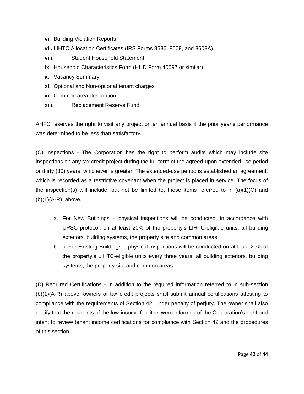- **vi.** Building Violation Reports
- **vii.** LIHTC Allocation Certificates (IRS Forms 8586, 8609, and 8609A)
- **viii.** Student Household Statement
- **ix.** Household Characteristics Form (HUD Form 40097 or similar)
- **x.** Vacancy Summary
- **xi.** Optional and Non-optional tenant charges
- **xii.** Common area description
- **xiii.** Replacement Reserve Fund

AHFC reserves the right to visit any project on an annual basis if the prior year's performance was determined to be less than satisfactory.

(C) Inspections - The Corporation has the right to perform audits which may include site inspections on any tax credit project during the full term of the agreed-upon extended use period or thirty (30) years, whichever is greater. The extended-use period is established an agreement, which is recorded as a restrictive covenant when the project is placed in service. The focus of the inspection(s) will include, but not be limited to, those items referred to in  $(a)(1)(C)$  and  $(b)(1)(A-R)$ , above.

- a. For New Buildings physical inspections will be conducted, in accordance with UPSC protocol, on at least 20% of the property's LIHTC-eligible units, all building exteriors, building systems, the property site and common areas.
- b. ii. For Existing Buildings physical inspections will be conducted on at least 20% of the property's LIHTC-eligible units every three years, all building exteriors, building systems, the property site and common areas.

(D) Required Certifications - In addition to the required information referred to in sub-section (b)(1)(A-R) above, owners of tax credit projects shall submit annual certifications attesting to compliance with the requirements of Section 42, under penalty of perjury. The owner shall also certify that the residents of the low-income facilities were informed of the Corporation's right and intent to review tenant income certifications for compliance with Section 42 and the procedures of this section.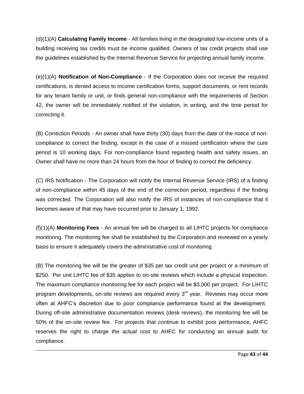(d)(1)(A) **Calculating Family Income** - All families living in the designated low-income units of a building receiving tax credits must be income qualified. Owners of tax credit projects shall use the guidelines established by the Internal Revenue Service for projecting annual family income.

(e)(1)(A) **Notification of Non-Compliance** - If the Corporation does not receive the required certifications, is denied access to income certification forms, support documents, or rent records for any tenant family or unit, or finds general non-compliance with the requirements of Section 42, the owner will be immediately notified of the violation, in writing, and the time period for correcting it.

(B) Correction Periods - An owner shall have thirty (30) days from the date of the notice of noncompliance to correct the finding, except in the case of a missed certification where the cure period is 10 working days. For non-compliance found regarding health and safety issues, an Owner shall have no more than 24 hours from the hour of finding to correct the deficiency.

(C) IRS Notification - The Corporation will notify the Internal Revenue Service (IRS) of a finding of non-compliance within 45 days of the end of the correction period, regardless if the finding was corrected. The Corporation will also notify the IRS of instances of non-compliance that it becomes aware of that may have occurred prior to January 1, 1992.

(f)(1)(A) **Monitoring Fees** - An annual fee will be charged to all LIHTC projects for compliance monitoring. The monitoring fee shall be established by the Corporation and reviewed on a yearly basis to ensure it adequately covers the administrative cost of monitoring.

(B) The monitoring fee will be the greater of \$35 per tax credit unit per project or a minimum of \$250. Per unit LIHTC fee of \$35 applies to on-site reviews which include a physical inspection. The maximum compliance monitoring fee for each project will be \$3,000 per project. For LIHTC program developments, on-site reviews are required every  $3<sup>rd</sup>$  year. Reviews may occur more often at AHFC's discretion due to poor compliance performance found at the development. During off-site administrative documentation reviews (desk reviews), the monitoring fee will be 50% of the on-site review fee. For projects that continue to exhibit poor performance, AHFC reserves the right to charge the actual cost to AHFC for conducting an annual audit for compliance.